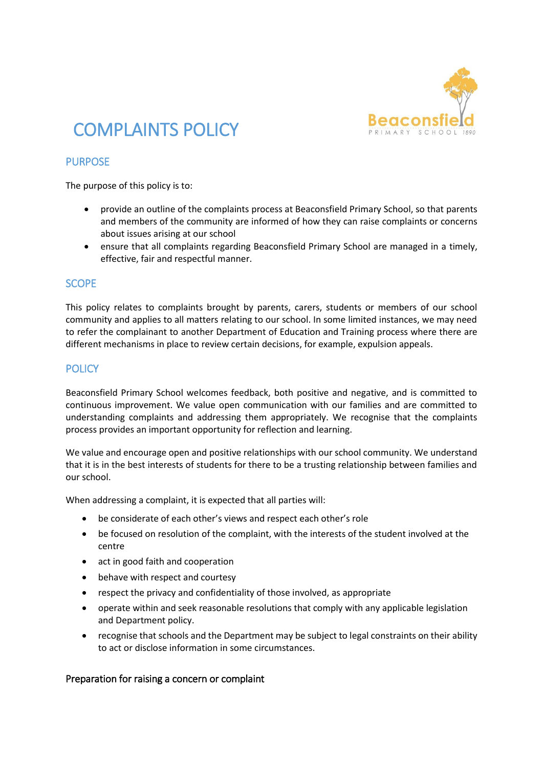

# COMPLAINTS POLICY

## PURPOSE

The purpose of this policy is to:

- provide an outline of the complaints process at Beaconsfield Primary School, so that parents and members of the community are informed of how they can raise complaints or concerns about issues arising at our school
- ensure that all complaints regarding Beaconsfield Primary School are managed in a timely, effective, fair and respectful manner.

#### **SCOPE**

This policy relates to complaints brought by parents, carers, students or members of our school community and applies to all matters relating to our school. In some limited instances, we may need to refer the complainant to another Department of Education and Training process where there are different mechanisms in place to review certain decisions, for example, expulsion appeals.

### **POLICY**

Beaconsfield Primary School welcomes feedback, both positive and negative, and is committed to continuous improvement. We value open communication with our families and are committed to understanding complaints and addressing them appropriately. We recognise that the complaints process provides an important opportunity for reflection and learning.

We value and encourage open and positive relationships with our school community. We understand that it is in the best interests of students for there to be a trusting relationship between families and our school.

When addressing a complaint, it is expected that all parties will:

- be considerate of each other's views and respect each other's role
- be focused on resolution of the complaint, with the interests of the student involved at the centre
- act in good faith and cooperation
- behave with respect and courtesy
- respect the privacy and confidentiality of those involved, as appropriate
- operate within and seek reasonable resolutions that comply with any applicable legislation and Department policy.
- recognise that schools and the Department may be subject to legal constraints on their ability to act or disclose information in some circumstances.

#### Preparation for raising a concern or complaint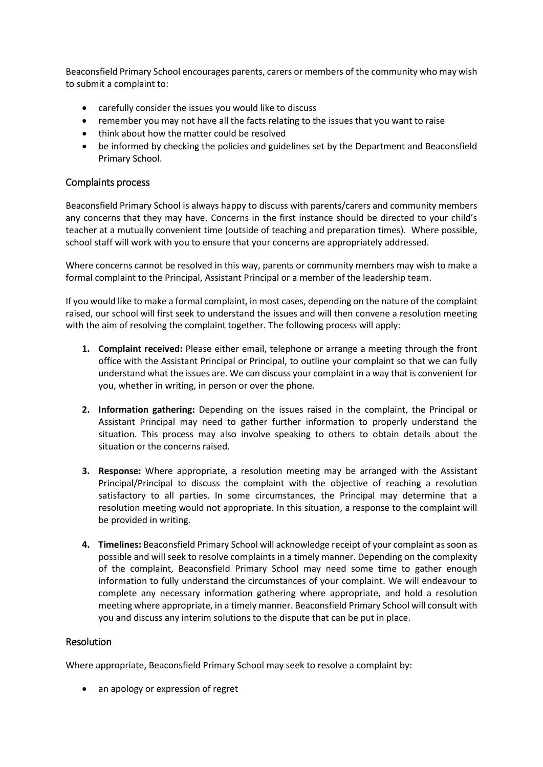Beaconsfield Primary School encourages parents, carers or members of the community who may wish to submit a complaint to:

- carefully consider the issues you would like to discuss
- remember you may not have all the facts relating to the issues that you want to raise
- think about how the matter could be resolved
- be informed by checking the policies and guidelines set by the Department and Beaconsfield Primary School.

#### Complaints process

Beaconsfield Primary School is always happy to discuss with parents/carers and community members any concerns that they may have. Concerns in the first instance should be directed to your child's teacher at a mutually convenient time (outside of teaching and preparation times). Where possible, school staff will work with you to ensure that your concerns are appropriately addressed.

Where concerns cannot be resolved in this way, parents or community members may wish to make a formal complaint to the Principal, Assistant Principal or a member of the leadership team.

If you would like to make a formal complaint, in most cases, depending on the nature of the complaint raised, our school will first seek to understand the issues and will then convene a resolution meeting with the aim of resolving the complaint together. The following process will apply:

- **1. Complaint received:** Please either email, telephone or arrange a meeting through the front office with the Assistant Principal or Principal, to outline your complaint so that we can fully understand what the issues are. We can discuss your complaint in a way that is convenient for you, whether in writing, in person or over the phone.
- **2. Information gathering:** Depending on the issues raised in the complaint, the Principal or Assistant Principal may need to gather further information to properly understand the situation. This process may also involve speaking to others to obtain details about the situation or the concerns raised.
- **3. Response:** Where appropriate, a resolution meeting may be arranged with the Assistant Principal/Principal to discuss the complaint with the objective of reaching a resolution satisfactory to all parties. In some circumstances, the Principal may determine that a resolution meeting would not appropriate. In this situation, a response to the complaint will be provided in writing.
- **4. Timelines:** Beaconsfield Primary School will acknowledge receipt of your complaint as soon as possible and will seek to resolve complaints in a timely manner. Depending on the complexity of the complaint, Beaconsfield Primary School may need some time to gather enough information to fully understand the circumstances of your complaint. We will endeavour to complete any necessary information gathering where appropriate, and hold a resolution meeting where appropriate, in a timely manner. Beaconsfield Primary School will consult with you and discuss any interim solutions to the dispute that can be put in place.

#### Resolution

Where appropriate, Beaconsfield Primary School may seek to resolve a complaint by:

• an apology or expression of regret